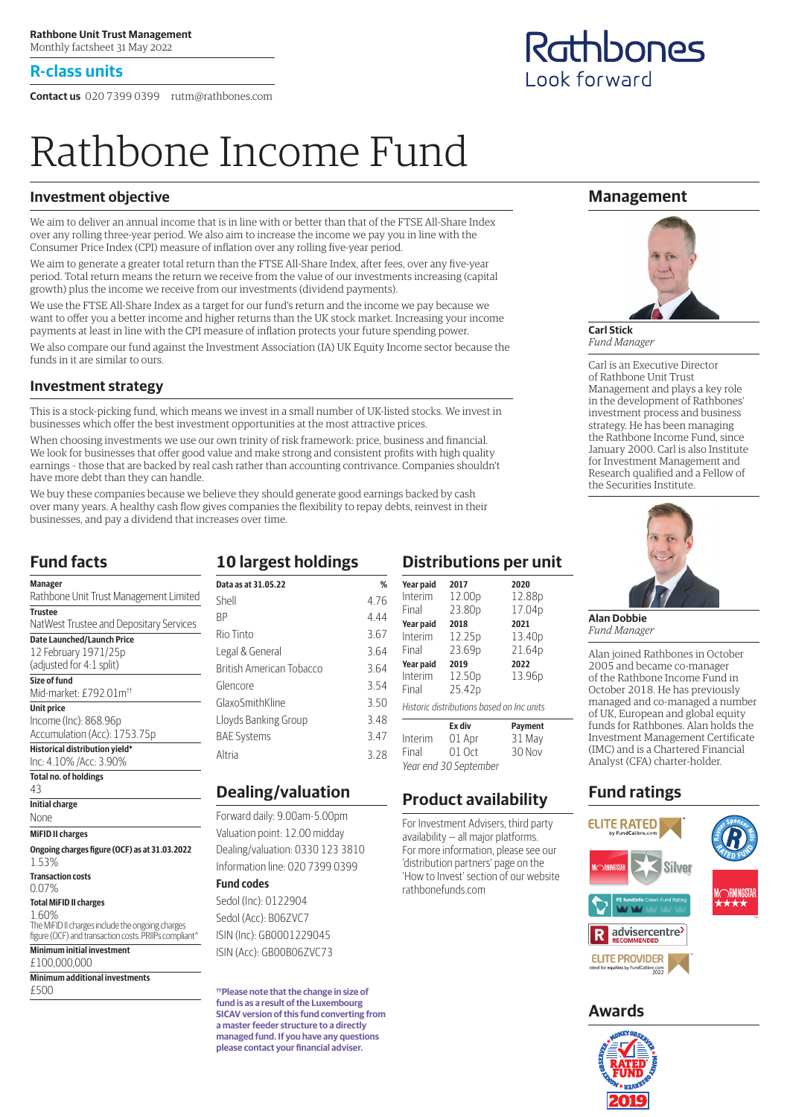#### **R-class units**

**Contact us** 020 7399 0399 rutm@rathbones.com

# Rathbone Income Fund

#### **Investment objective**

We aim to deliver an annual income that is in line with or better than that of the FTSE All-Share Index over any rolling three-year period. We also aim to increase the income we pay you in line with the Consumer Price Index (CPI) measure of inflation over any rolling five-year period.

We aim to generate a greater total return than the FTSE All-Share Index, after fees, over any five-year period. Total return means the return we receive from the value of our investments increasing (capital growth) plus the income we receive from our investments (dividend payments).

We use the FTSE All-Share Index as a target for our fund's return and the income we pay because we want to offer you a better income and higher returns than the UK stock market. Increasing your income payments at least in line with the CPI measure of inflation protects your future spending power.

We also compare our fund against the Investment Association (IA) UK Equity Income sector because the funds in it are similar to ours.

#### **Investment strategy**

This is a stock-picking fund, which means we invest in a small number of UK-listed stocks. We invest in businesses which offer the best investment opportunities at the most attractive prices.

When choosing investments we use our own trinity of risk framework: price, business and financial. We look for businesses that offer good value and make strong and consistent profits with high quality earnings – those that are backed by real cash rather than accounting contrivance. Companies shouldn't have more debt than they can handle.

We buy these companies because we believe they should generate good earnings backed by cash over many years. A healthy cash flow gives companies the flexibility to repay debts, reinvest in their businesses, and pay a dividend that increases over time.

#### **Fund facts**

| <b>Manager</b>                                                                                            |  |
|-----------------------------------------------------------------------------------------------------------|--|
| Rathbone Unit Trust Management Limited                                                                    |  |
| <b>Trustee</b>                                                                                            |  |
| NatWest Trustee and Depositary Services                                                                   |  |
| <b>Date Launched/Launch Price</b>                                                                         |  |
| 12 February 1971/25p                                                                                      |  |
| (adjusted for 4:1 split)                                                                                  |  |
| Size of fund                                                                                              |  |
| Mid-market: £792.01m <sup>++</sup>                                                                        |  |
| <b>Unit price</b>                                                                                         |  |
| Income (Inc): 868.96p                                                                                     |  |
| Accumulation (Acc): 1753.75p                                                                              |  |
| Historical distribution yield*                                                                            |  |
| Inc: 4.10% /Acc: 3.90%                                                                                    |  |
| <b>Total no. of holdings</b>                                                                              |  |
| 43                                                                                                        |  |
| <b>Initial charge</b>                                                                                     |  |
| None                                                                                                      |  |
| <b>MiFID II charges</b>                                                                                   |  |
| Ongoing charges figure (OCF) as at 31.03.2022                                                             |  |
| 153%                                                                                                      |  |
| <b>Transaction costs</b>                                                                                  |  |
| 0.07%                                                                                                     |  |
| <b>Total MiFID II charges</b>                                                                             |  |
| 160%                                                                                                      |  |
| The MiFID II charges include the ongoing charges<br>figure (OCF) and transaction costs. PRIIPs compliant^ |  |
| <b>Minimum initial investment</b>                                                                         |  |
| £100.000.000                                                                                              |  |

**Minimum additional investments**

£500

# **10 largest holdings**

| %    |
|------|
| 4.76 |
| 4.44 |
| 3.67 |
| 3.64 |
| 3.64 |
| 3.54 |
| 3.50 |
| 3.48 |
| 3.47 |
| 3.28 |
|      |

# **Dealing/valuation**

Forward daily: 9.00am‑5.00pm aluation point: 12.00 midday ealing/valuation: 0330 123 3810 formation line: 020 7399 0399 **Fund codes**

edol (Inc): 0122904 edol (Acc): B06ZVC7 IN (Inc): GB0001229045 IN (Acc): GB00B06ZVC73

**††Please note that the change in size of fund is as a result of the Luxembourg SICAV version of this fund converting from a master feeder structure to a directly managed fund. If you have any questions please contact your financial adviser.**

|                | <b>Distributions per unit</b> |      |  |
|----------------|-------------------------------|------|--|
| Voar naid 2017 |                               | חרחר |  |

| Year paid | 2017                                      | 2020               |
|-----------|-------------------------------------------|--------------------|
| Interim   | 12.00 <sub>p</sub>                        | 12.88p             |
| Final     | 23.80 <sub>p</sub>                        | 17.04p             |
| Year paid | 2018                                      | 2021               |
| Interim   | 12.25p                                    | 13.40 <sub>p</sub> |
| Final     | 23.69p                                    | 21.64p             |
| Year paid | 2019                                      | 2022               |
| Interim   | 12.50p                                    | 13.96 <sub>p</sub> |
| Final     | 25.42p                                    |                    |
|           | Historic distributions based on Inc units |                    |
|           | Ex div                                    | Payment            |
| Interim   | 01 Apr                                    | 31 May             |
| Final     | $01$ Oct                                  | 30 Nov             |
|           | Year end 30 September                     |                    |

### **Product availability**

For Investment Advisers, third party availability — all major platforms. For more information, please see our 'distribution partners' page on the 'How to Invest' section of our website rathbonefunds.com

#### **Management**



**Carl Stick** *Fund Manager*

Carl is an Executive Director of Rathbone Unit Trust Management and plays a key role in the development of Rathbones' investment process and business strategy. He has been managing the Rathbone Income Fund, since January 2000. Carl is also Institute for Investment Management and Research qualified and a Fellow of the Securities Institute.



**Alan Dobbie** *Fund Manager*

Alan joined Rathbones in October 2005 and became co-manager of the Rathbone Income Fund in October 2018. He has previously managed and co-managed a number of UK, European and global equity funds for Rathbones. Alan holds the Investment Management Certificate (IMC) and is a Chartered Financial Analyst (CFA) charter-holder.

# **Fund ratings**



# **Awards**